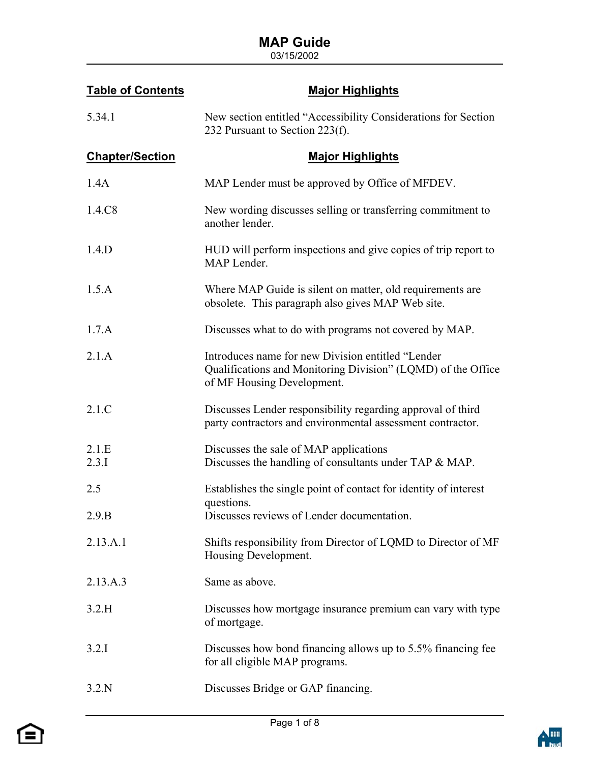| <b>Table of Contents</b> | <b>Major Highlights</b>                                                                                                                         |
|--------------------------|-------------------------------------------------------------------------------------------------------------------------------------------------|
| 5.34.1                   | New section entitled "Accessibility Considerations for Section<br>232 Pursuant to Section 223(f).                                               |
| <b>Chapter/Section</b>   | <b>Major Highlights</b>                                                                                                                         |
| 1.4A                     | MAP Lender must be approved by Office of MFDEV.                                                                                                 |
| 1.4.C8                   | New wording discusses selling or transferring commitment to<br>another lender.                                                                  |
| 1.4.D                    | HUD will perform inspections and give copies of trip report to<br>MAP Lender.                                                                   |
| 1.5.A                    | Where MAP Guide is silent on matter, old requirements are<br>obsolete. This paragraph also gives MAP Web site.                                  |
| 1.7.A                    | Discusses what to do with programs not covered by MAP.                                                                                          |
| 2.1.A                    | Introduces name for new Division entitled "Lender<br>Qualifications and Monitoring Division" (LQMD) of the Office<br>of MF Housing Development. |
| 2.1.C                    | Discusses Lender responsibility regarding approval of third<br>party contractors and environmental assessment contractor.                       |
| 2.1.E<br>2.3.1           | Discusses the sale of MAP applications<br>Discusses the handling of consultants under TAP & MAP.                                                |
| 2.5                      | Establishes the single point of contact for identity of interest<br>questions.                                                                  |
| 2.9.B                    | Discusses reviews of Lender documentation.                                                                                                      |
| 2.13.A.1                 | Shifts responsibility from Director of LQMD to Director of MF<br>Housing Development.                                                           |
| 2.13.A.3                 | Same as above.                                                                                                                                  |
| 3.2.H                    | Discusses how mortgage insurance premium can vary with type<br>of mortgage.                                                                     |
| 3.2.1                    | Discusses how bond financing allows up to 5.5% financing fee<br>for all eligible MAP programs.                                                  |
| 3.2.N                    | Discusses Bridge or GAP financing.                                                                                                              |

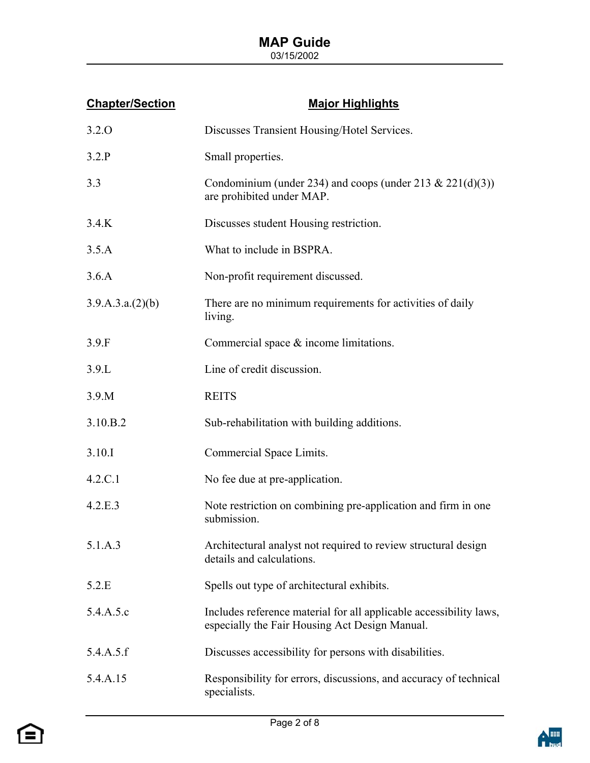#### **MAP Guide**   $03/15/2002$

| <b>Chapter/Section</b> | <b>Major Highlights</b>                                                                                              |
|------------------------|----------------------------------------------------------------------------------------------------------------------|
| 3.2.0                  | Discusses Transient Housing/Hotel Services.                                                                          |
| 3.2.P                  | Small properties.                                                                                                    |
| 3.3                    | Condominium (under 234) and coops (under 213 & 221(d)(3))<br>are prohibited under MAP.                               |
| 3.4.K                  | Discusses student Housing restriction.                                                                               |
| 3.5.A                  | What to include in BSPRA.                                                                                            |
| 3.6.A                  | Non-profit requirement discussed.                                                                                    |
| 3.9.A.3.a.(2)(b)       | There are no minimum requirements for activities of daily<br>living.                                                 |
| 3.9.F                  | Commercial space $\&$ income limitations.                                                                            |
| 3.9.L                  | Line of credit discussion.                                                                                           |
| 3.9.M                  | <b>REITS</b>                                                                                                         |
| 3.10.B.2               | Sub-rehabilitation with building additions.                                                                          |
| 3.10.I                 | Commercial Space Limits.                                                                                             |
| 4.2.C.1                | No fee due at pre-application.                                                                                       |
| 4.2.E.3                | Note restriction on combining pre-application and firm in one<br>submission.                                         |
| 5.1.A.3                | Architectural analyst not required to review structural design<br>details and calculations.                          |
| 5.2.E                  | Spells out type of architectural exhibits.                                                                           |
| 5.4.A.5.c              | Includes reference material for all applicable accessibility laws,<br>especially the Fair Housing Act Design Manual. |
| 5.4.A.5.f              | Discusses accessibility for persons with disabilities.                                                               |
| 5.4.A.15               | Responsibility for errors, discussions, and accuracy of technical<br>specialists.                                    |



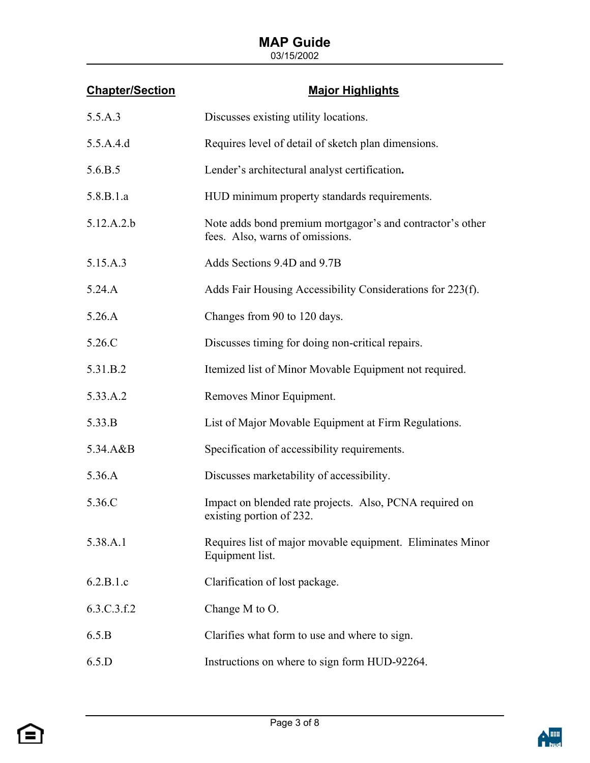| <b>Chapter/Section</b> | <b>Major Highlights</b>                                                                      |
|------------------------|----------------------------------------------------------------------------------------------|
| 5.5.A.3                | Discusses existing utility locations.                                                        |
| 5.5.A.4.d              | Requires level of detail of sketch plan dimensions.                                          |
| 5.6.B.5                | Lender's architectural analyst certification.                                                |
| 5.8.B.1.a              | HUD minimum property standards requirements.                                                 |
| 5.12.A.2.b             | Note adds bond premium mortgagor's and contractor's other<br>fees. Also, warns of omissions. |
| 5.15.A.3               | Adds Sections 9.4D and 9.7B                                                                  |
| 5.24.A                 | Adds Fair Housing Accessibility Considerations for 223(f).                                   |
| 5.26.A                 | Changes from 90 to 120 days.                                                                 |
| 5.26.C                 | Discusses timing for doing non-critical repairs.                                             |
| 5.31.B.2               | Itemized list of Minor Movable Equipment not required.                                       |
| 5.33.A.2               | Removes Minor Equipment.                                                                     |
| 5.33.B                 | List of Major Movable Equipment at Firm Regulations.                                         |
| 5.34.A&B               | Specification of accessibility requirements.                                                 |
| 5.36.A                 | Discusses marketability of accessibility.                                                    |
| 5.36.C                 | Impact on blended rate projects. Also, PCNA required on<br>existing portion of 232.          |
| 5.38.A.1               | Requires list of major movable equipment. Eliminates Minor<br>Equipment list.                |
| 6.2.B.1.c              | Clarification of lost package.                                                               |
| 6.3.C.3.f.2            | Change M to O.                                                                               |
| 6.5.B                  | Clarifies what form to use and where to sign.                                                |
| 6.5.D                  | Instructions on where to sign form HUD-92264.                                                |



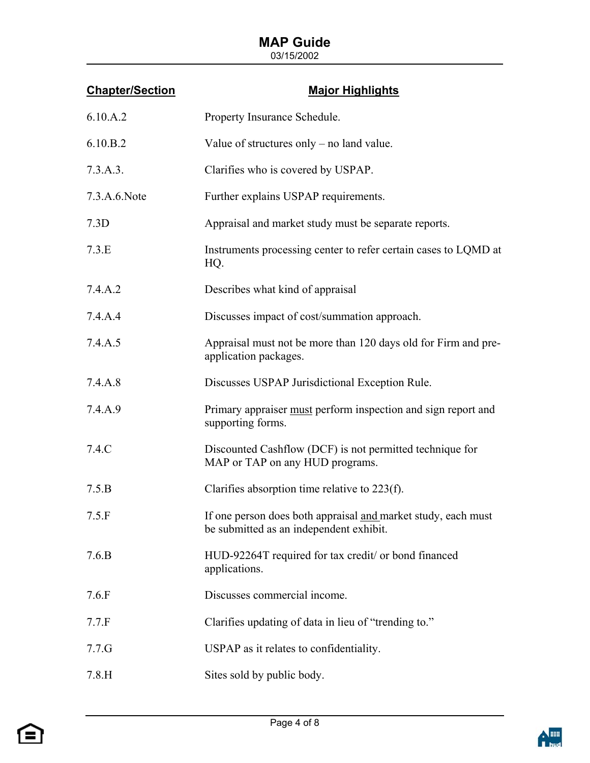| <b>Chapter/Section</b> | <b>Major Highlights</b>                                                                                  |
|------------------------|----------------------------------------------------------------------------------------------------------|
| 6.10.A.2               | Property Insurance Schedule.                                                                             |
| 6.10.B.2               | Value of structures only $-$ no land value.                                                              |
| 7.3.A.3.               | Clarifies who is covered by USPAP.                                                                       |
| 7.3.A.6.Note           | Further explains USPAP requirements.                                                                     |
| 7.3D                   | Appraisal and market study must be separate reports.                                                     |
| 7.3.E                  | Instruments processing center to refer certain cases to LQMD at<br>HQ.                                   |
| 7.4.A.2                | Describes what kind of appraisal                                                                         |
| 7.4.A.4                | Discusses impact of cost/summation approach.                                                             |
| 7.4.A.5                | Appraisal must not be more than 120 days old for Firm and pre-<br>application packages.                  |
| 7.4.A.8                | Discusses USPAP Jurisdictional Exception Rule.                                                           |
| 7.4.A.9                | Primary appraiser must perform inspection and sign report and<br>supporting forms.                       |
| 7.4.C                  | Discounted Cashflow (DCF) is not permitted technique for<br>MAP or TAP on any HUD programs.              |
| 7.5.B                  | Clarifies absorption time relative to $223(f)$ .                                                         |
| 7.5.F                  | If one person does both appraisal and market study, each must<br>be submitted as an independent exhibit. |
| 7.6.B                  | HUD-92264T required for tax credit/ or bond financed<br>applications.                                    |
| 7.6.F                  | Discusses commercial income.                                                                             |
| 7.7.F                  | Clarifies updating of data in lieu of "trending to."                                                     |
| 7.7.G                  | USPAP as it relates to confidentiality.                                                                  |
| 7.8.H                  | Sites sold by public body.                                                                               |



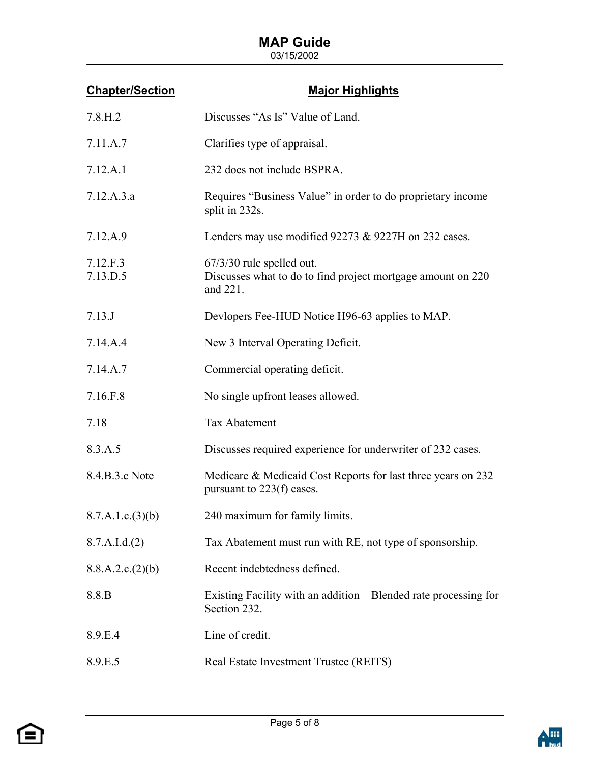| <b>Chapter/Section</b> | <b>Major Highlights</b>                                                                                |
|------------------------|--------------------------------------------------------------------------------------------------------|
| 7.8.H.2                | Discusses "As Is" Value of Land.                                                                       |
| 7.11.A.7               | Clarifies type of appraisal.                                                                           |
| 7.12.A.1               | 232 does not include BSPRA.                                                                            |
| 7.12.A.3.a             | Requires "Business Value" in order to do proprietary income<br>split in 232s.                          |
| 7.12.A.9               | Lenders may use modified 92273 & 9227H on 232 cases.                                                   |
| 7.12.F.3<br>7.13.D.5   | $67/3/30$ rule spelled out.<br>Discusses what to do to find project mortgage amount on 220<br>and 221. |
| 7.13.J                 | Devlopers Fee-HUD Notice H96-63 applies to MAP.                                                        |
| 7.14.A.4               | New 3 Interval Operating Deficit.                                                                      |
| 7.14.A.7               | Commercial operating deficit.                                                                          |
| 7.16.F.8               | No single upfront leases allowed.                                                                      |
| 7.18                   | <b>Tax Abatement</b>                                                                                   |
| 8.3.A.5                | Discusses required experience for underwriter of 232 cases.                                            |
| 8.4.B.3.c Note         | Medicare & Medicaid Cost Reports for last three years on 232<br>pursuant to $223(f)$ cases.            |
| 8.7.A.1.c.(3)(b)       | 240 maximum for family limits.                                                                         |
| 8.7.A.I.d.(2)          | Tax Abatement must run with RE, not type of sponsorship.                                               |
| 8.8.A.2.c.(2)(b)       | Recent indebtedness defined.                                                                           |
| 8.8.B                  | Existing Facility with an addition – Blended rate processing for<br>Section 232.                       |
| 8.9.E.4                | Line of credit.                                                                                        |
| 8.9.E.5                | Real Estate Investment Trustee (REITS)                                                                 |



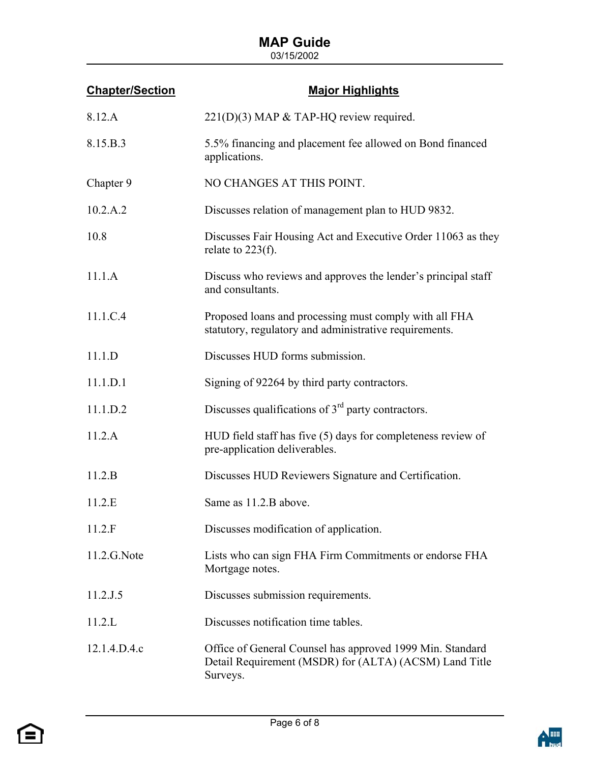| <b>Chapter/Section</b> | <b>Major Highlights</b>                                                                                                         |
|------------------------|---------------------------------------------------------------------------------------------------------------------------------|
| 8.12.A                 | $221(D)(3)$ MAP & TAP-HQ review required.                                                                                       |
| 8.15.B.3               | 5.5% financing and placement fee allowed on Bond financed<br>applications.                                                      |
| Chapter 9              | NO CHANGES AT THIS POINT.                                                                                                       |
| 10.2.A.2               | Discusses relation of management plan to HUD 9832.                                                                              |
| 10.8                   | Discusses Fair Housing Act and Executive Order 11063 as they<br>relate to $223(f)$ .                                            |
| 11.1.A                 | Discuss who reviews and approves the lender's principal staff<br>and consultants.                                               |
| 11.1.C.4               | Proposed loans and processing must comply with all FHA<br>statutory, regulatory and administrative requirements.                |
| 11.1.D                 | Discusses HUD forms submission.                                                                                                 |
| 11.1.D.1               | Signing of 92264 by third party contractors.                                                                                    |
| 11.1.D.2               | Discusses qualifications of $3rd$ party contractors.                                                                            |
| 11.2.A                 | HUD field staff has five (5) days for completeness review of<br>pre-application deliverables.                                   |
| 11.2.B                 | Discusses HUD Reviewers Signature and Certification.                                                                            |
| 11.2.E                 | Same as 11.2.B above.                                                                                                           |
| 11.2.F                 | Discusses modification of application.                                                                                          |
| 11.2.G.Note            | Lists who can sign FHA Firm Commitments or endorse FHA<br>Mortgage notes.                                                       |
| 11.2.J.5               | Discusses submission requirements.                                                                                              |
| 11.2.L                 | Discusses notification time tables.                                                                                             |
| 12.1.4.D.4.c           | Office of General Counsel has approved 1999 Min. Standard<br>Detail Requirement (MSDR) for (ALTA) (ACSM) Land Title<br>Surveys. |



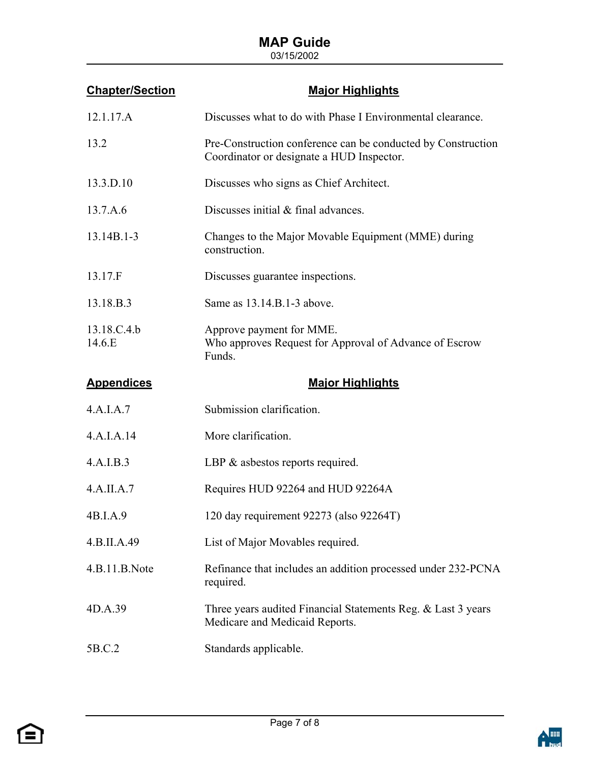| <b>Chapter/Section</b> | <b>Major Highlights</b>                                                                                   |
|------------------------|-----------------------------------------------------------------------------------------------------------|
| 12.1.17.A              | Discusses what to do with Phase I Environmental clearance.                                                |
| 13.2                   | Pre-Construction conference can be conducted by Construction<br>Coordinator or designate a HUD Inspector. |
| 13.3.D.10              | Discusses who signs as Chief Architect.                                                                   |
| 13.7.A.6               | Discusses initial & final advances.                                                                       |
| $13.14B.1 - 3$         | Changes to the Major Movable Equipment (MME) during<br>construction.                                      |
| 13.17.F                | Discusses guarantee inspections.                                                                          |
| 13.18.B.3              | Same as 13.14.B.1-3 above.                                                                                |
| 13.18.C.4.b<br>14.6.E  | Approve payment for MME.<br>Who approves Request for Approval of Advance of Escrow<br>Funds.              |
|                        |                                                                                                           |
| <b>Appendices</b>      | <b>Major Highlights</b>                                                                                   |
| 4.A.I.A.7              | Submission clarification.                                                                                 |
| 4.A.I.A.14             | More clarification.                                                                                       |
| 4.A.I.B.3              | LBP $\&$ asbestos reports required.                                                                       |
| 4.A.IIA.7              | Requires HUD 92264 and HUD 92264A                                                                         |
| 4B.I.A.9               | 120 day requirement 92273 (also 92264T)                                                                   |
| 4.B.II.A.49            | List of Major Movables required.                                                                          |
| 4.B.11.B.Note          | Refinance that includes an addition processed under 232-PCNA<br>required.                                 |
| 4D.A.39                | Three years audited Financial Statements Reg. & Last 3 years<br>Medicare and Medicaid Reports.            |